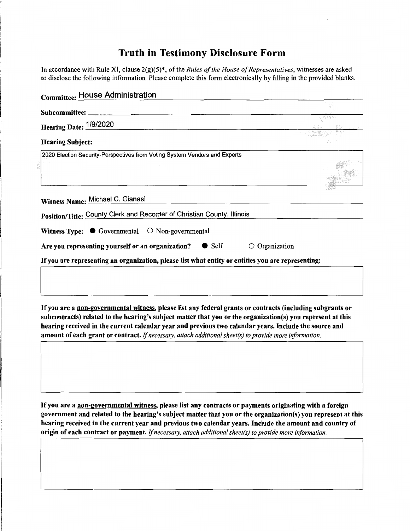## **Truth in Testimony Disclosure Form**

In accordance with Rule XI, clause 2(g)(5)\*, of the *Rules of the House of Representatives*, witnesses are asked to disclose the following information. Please complete this form electronically by filling in the provided blanks.

| <b>Committee: House Administration</b>                                                                                                                                                                                                                                                                                                                                                                                                        |  |
|-----------------------------------------------------------------------------------------------------------------------------------------------------------------------------------------------------------------------------------------------------------------------------------------------------------------------------------------------------------------------------------------------------------------------------------------------|--|
| Subcommittee: _                                                                                                                                                                                                                                                                                                                                                                                                                               |  |
| Hearing Date: 1/9/2020                                                                                                                                                                                                                                                                                                                                                                                                                        |  |
| <b>Hearing Subject:</b>                                                                                                                                                                                                                                                                                                                                                                                                                       |  |
| 2020 Election Security-Perspectives from Voting System Vendors and Experts                                                                                                                                                                                                                                                                                                                                                                    |  |
|                                                                                                                                                                                                                                                                                                                                                                                                                                               |  |
| Witness Name: Michael C. Gianasi                                                                                                                                                                                                                                                                                                                                                                                                              |  |
| Position/Title: County Clerk and Recorder of Christian County, Illinois                                                                                                                                                                                                                                                                                                                                                                       |  |
| Witness Type: $\bullet$ Governmental<br>$\circ$ Non-governmental                                                                                                                                                                                                                                                                                                                                                                              |  |
| $\bullet$ Self<br>$\circ$ Organization<br>Are you representing yourself or an organization?                                                                                                                                                                                                                                                                                                                                                   |  |
| If you are representing an organization, please list what entity or entities you are representing:                                                                                                                                                                                                                                                                                                                                            |  |
|                                                                                                                                                                                                                                                                                                                                                                                                                                               |  |
|                                                                                                                                                                                                                                                                                                                                                                                                                                               |  |
| If you are a non-governmental witness, please list any federal grants or contracts (including subgrants or<br>subcontracts) related to the hearing's subject matter that you or the organization(s) you represent at this<br>hearing received in the current calendar year and previous two calendar years. Include the source and<br>amount of each grant or contract. If necessary, attach additional sheet(s) to provide more information. |  |
| If you are a non-governmental witness, please list any contracts or payments originating with a foreign<br>government and related to the hearing's subject matter that you or the organization(s) you represent at this<br>hearing received in the current year and previous two calendar years. Include the amount and country of                                                                                                            |  |

origin of each contract or payment. If *necessary, attach additional sheet(s) to provide more information.*